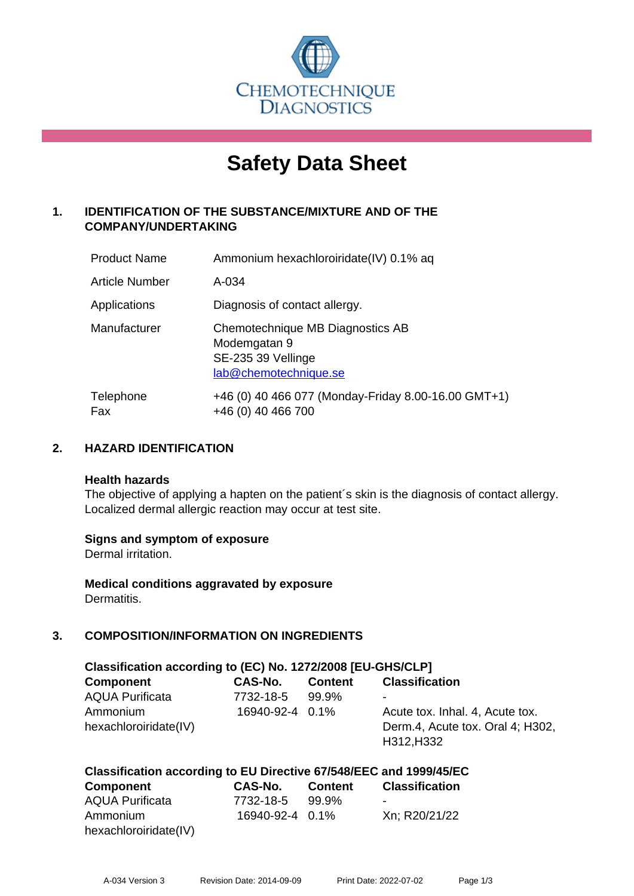

# **Safety Data Sheet**

# **1. IDENTIFICATION OF THE SUBSTANCE/MIXTURE AND OF THE COMPANY/UNDERTAKING**

| <b>Product Name</b>   | Ammonium hexachloroiridate(IV) 0.1% aq                                                          |
|-----------------------|-------------------------------------------------------------------------------------------------|
| <b>Article Number</b> | A-034                                                                                           |
| Applications          | Diagnosis of contact allergy.                                                                   |
| Manufacturer          | Chemotechnique MB Diagnostics AB<br>Modemgatan 9<br>SE-235 39 Vellinge<br>lab@chemotechnique.se |
| Telephone<br>Fax      | +46 (0) 40 466 077 (Monday-Friday 8.00-16.00 GMT+1)<br>+46 (0) 40 466 700                       |

# **2. HAZARD IDENTIFICATION**

#### **Health hazards**

The objective of applying a hapten on the patient's skin is the diagnosis of contact allergy. Localized dermal allergic reaction may occur at test site.

### **Signs and symptom of exposure**

Dermal irritation.

**Medical conditions aggravated by exposure** Dermatitis.

# **3. COMPOSITION/INFORMATION ON INGREDIENTS**

| Classification according to (EC) No. 1272/2008 [EU-GHS/CLP] |                 |                |                                  |  |  |
|-------------------------------------------------------------|-----------------|----------------|----------------------------------|--|--|
| <b>Component</b>                                            | CAS-No.         | <b>Content</b> | <b>Classification</b>            |  |  |
| <b>AQUA Purificata</b>                                      | 7732-18-5       | 99.9%          | $\,$                             |  |  |
| Ammonium                                                    | 16940-92-4 0.1% |                | Acute tox. Inhal. 4, Acute tox.  |  |  |
| hexachloroiridate(IV)                                       |                 |                | Derm.4, Acute tox. Oral 4; H302, |  |  |
|                                                             |                 |                | H312, H332                       |  |  |

# **Classification according to EU Directive 67/548/EEC and 1999/45/EC**

| <b>Component</b>       | <b>CAS-No.</b>  | Content | <b>Classification</b> |
|------------------------|-----------------|---------|-----------------------|
| <b>AQUA Purificata</b> | 7732-18-5       | 99.9%   | $\,$                  |
| Ammonium               | 16940-92-4 0.1% |         | Xn: R20/21/22         |
| hexachloroiridate(IV)  |                 |         |                       |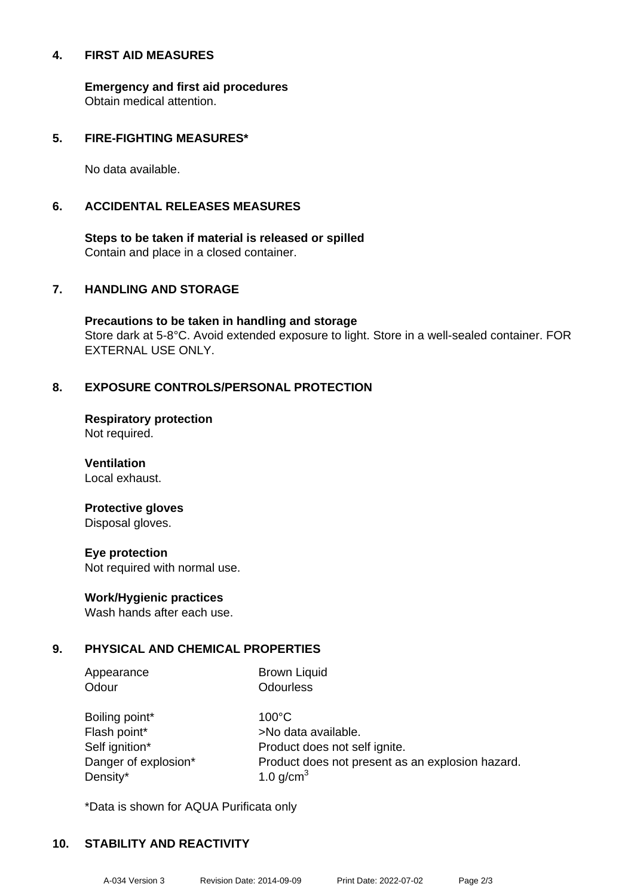#### **4. FIRST AID MEASURES**

**Emergency and first aid procedures** Obtain medical attention.

## **5. FIRE-FIGHTING MEASURES\***

No data available.

## **6. ACCIDENTAL RELEASES MEASURES**

**Steps to be taken if material is released or spilled** Contain and place in a closed container.

# **7. HANDLING AND STORAGE**

**Precautions to be taken in handling and storage** Store dark at 5-8°C. Avoid extended exposure to light. Store in a well-sealed container. FOR EXTERNAL USE ONLY.

# **8. EXPOSURE CONTROLS/PERSONAL PROTECTION**

**Respiratory protection** Not required.

**Ventilation** Local exhaust.

# **Protective gloves**

Disposal gloves.

### **Eye protection**

Not required with normal use.

### **Work/Hygienic practices**

Wash hands after each use.

### **9. PHYSICAL AND CHEMICAL PROPERTIES**

| Appearance           | <b>Brown Liquid</b>                              |
|----------------------|--------------------------------------------------|
| Odour                | <b>Odourless</b>                                 |
| Boiling point*       | $100^{\circ}$ C                                  |
| Flash point*         | >No data available.                              |
| Self ignition*       | Product does not self ignite.                    |
| Danger of explosion* | Product does not present as an explosion hazard. |
| Density*             | 1.0 $q/cm3$                                      |

\*Data is shown for AQUA Purificata only

### **10. STABILITY AND REACTIVITY**